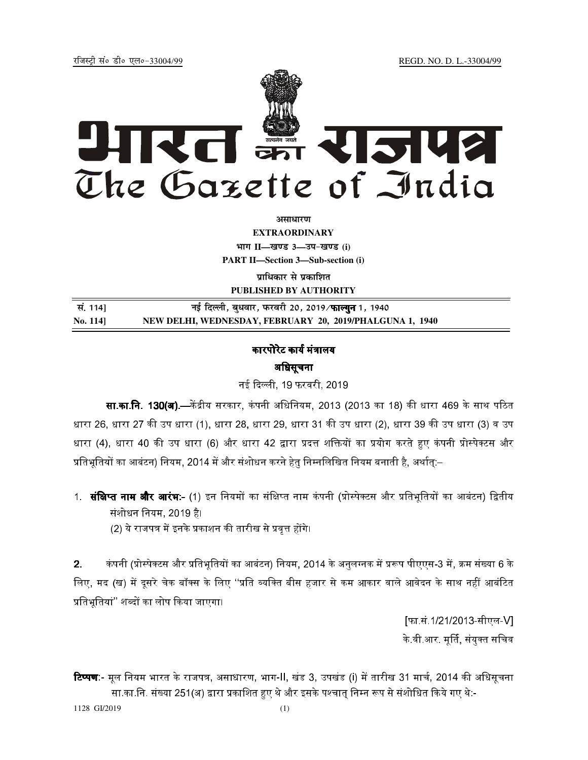jftLVªh laö Mhö ,yö&33004@99 REGD. NO. D. L.-33004/99



**vlk/kj.k**

**EXTRAORDINARY Hkkx II—[k.M 3—mi&[k.M (i) PART II—Section 3—Sub-section (i)** 

**प्राधिकार से प्रकाशित PUBLISHED BY AUTHORITY**

 **la- 114] ubZ fnYyh] cq/okj] iQjojh 20] 2019@**-न **1] 1940 No. 114] NEW DELHI, WEDNESDAY, FEBRUARY 20, 2019/PHALGUNA 1, 1940**

## कारपोरेट कार्य मंत्रालय अधिसूचना

नई दिल्ली, 19 फरवरी, 2019

**सा.का.नि. 130(अ).—**केंद्रीय सरकार, कंपनी अधिनियम, 2013 (2013 का 18) की धारा 469 के साथ पठित धारा 26. धारा 27 की उप धारा (1). धारा 28. धारा 29. धारा 31 की उप धारा (2). धारा 39 की उप धारा (3) व उप धारा (4), धारा 40 की उप धारा (6) और धारा 42 द्वारा प्रदत्त शक्तियों का प्रयोग करते हुए कंपनी प्रोस्पेक्टस और प्रतिभृतियों का आबंटन) नियम, 2014 में और संशोधन करने हेत निम्नलिखित नियम बनाती है, अर्थात:–

1. **संक्षिप्त नाम और आरंभ:-** (1) इन नियमों का संक्षिप्त नाम कंपनी (प्रोस्पेक्टस और प्रतिभतियों का आबंटन) द्वितीय संशोधन िनयम, 2019 है।

(2) ये राजपत्र में इनके प्रकाशन की तारीख से प्रवत्त होंगे।

**2**. कंपनी (प्रोस्पेक्टस और प्रतिभतियों का आबंटन) नियम. 2014 के अनलग्नक में प्ररूप पीएएस-3 में. क्रम संख्या 6 के लिए, मद (ख) में दसरे चेक बॉक्स के लिए ''प्रति व्यक्ति बीस हजार से कम आकार वाले आवेदन के साथ नहीं आबंटित प्रतिभतियां'' शब्दों का लोप किया जाएगा।

> [फा.सं.1/21/2013-सीएल-V] के वी आर<sub>्</sub>मर्ति. संयक्त सचिव

**टिप्पण**:- मल नियम भारत के राजपत्र, असाधारण, भाग-II, खंड 3, उपखंड (i) में तारीख 31 मार्च, 2014 की अधिसचना सा.का.नि. संख्या 251(अ) द्वारा प्रकाशित हुए थे और इसके पश्चात निम्न रूप से संशोधित किये गए थे:-